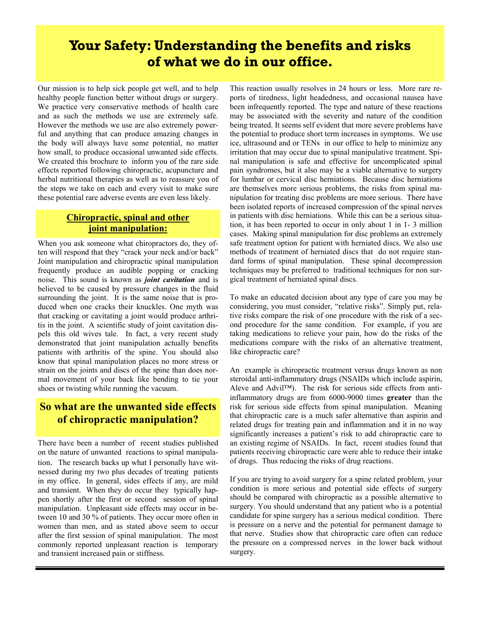# **Your Safety: Understanding the benefits and risks of what we do in our office.**

Our mission is to help sick people get well, and to help healthy people function better without drugs or surgery. We practice very conservative methods of health care and as such the methods we use are extremely safe. However the methods we use are also extremely powerful and anything that can produce amazing changes in the body will always have some potential, no matter how small, to produce occasional unwanted side effects. We created this brochure to inform you of the rare side effects reported following chiropractic, acupuncture and herbal nutritional therapies as well as to reassure you of the steps we take on each and every visit to make sure these potential rare adverse events are even less likely.

## **Chiropractic, spinal and other joint manipulation:**

When you ask someone what chiropractors do, they often will respond that they "crack your neck and/or back" Joint manipulation and chiropractic spinal manipulation frequently produce an audible popping or cracking noise. This sound is known as *joint cavitation* and is believed to be caused by pressure changes in the fluid surrounding the joint. It is the same noise that is produced when one cracks their knuckles. One myth was that cracking or cavitating a joint would produce arthritis in the joint. A scientific study of joint cavitation dispels this old wives tale. In fact, a very recent study demonstrated that joint manipulation actually benefits patients with arthritis of the spine. You should also know that spinal manipulation places no more stress or strain on the joints and discs of the spine than does normal movement of your back like bending to tie your shoes or twisting while running the vacuum.

# **So what are the unwanted side effects of chiropractic manipulation?**

There have been a number of recent studies published on the nature of unwanted reactions to spinal manipulation. The research backs up what I personally have witnessed during my two plus decades of treating patients in my office. In general, sides effects if any, are mild and transient. When they do occur they typically happen shortly after the first or second session of spinal manipulation. Unpleasant side effects may occur in between 10 and 30 % of patients. They occur more often in women than men, and as stated above seem to occur after the first session of spinal manipulation. The most commonly reported unpleasant reaction is temporary and transient increased pain or stiffness.

This reaction usually resolves in 24 hours or less. More rare reports of tiredness, light headedness, and occasional nausea have been infrequently reported. The type and nature of these reactions may be associated with the severity and nature of the condition being treated. It seems self evident that more severe problems have the potential to produce short term increases in symptoms. We use ice, ultrasound and or TENs in our office to help to minimize any irritation that may occur due to spinal manipulative treatment. Spinal manipulation is safe and effective for uncomplicated spinal pain syndromes, but it also may be a viable alternative to surgery for lumbar or cervical disc herniations. Because disc herniations are themselves more serious problems, the risks from spinal manipulation for treating disc problems are more serious. There have been isolated reports of increased compression of the spinal nerves in patients with disc herniations. While this can be a serious situation, it has been reported to occur in only about 1 in 1- 3 million cases. Making spinal manipulation for disc problems an extremely safe treatment option for patient with herniated discs. We also use methods of treatment of herniated discs that do not require standard forms of spinal manipulation. These spinal decompression techniques may be preferred to traditional techniques for non surgical treatment of herniated spinal discs.

To make an educated decision about any type of care you may be considering, you must consider, "relative risks". Simply put, relative risks compare the risk of one procedure with the risk of a second procedure for the same condition. For example, if you are taking medications to relieve your pain, how do the risks of the medications compare with the risks of an alternative treatment, like chiropractic care?

An example is chiropractic treatment versus drugs known as non steroidal anti-inflammatory drugs (NSAIDs which include aspirin, Aleve and Advil™). The risk for serious side effects from antiinflammatory drugs are from 6000-9000 times **greater** than the risk for serious side effects from spinal manipulation. Meaning that chiropractic care is a much safer alternative than aspirin and related drugs for treating pain and inflammation and it in no way significantly increases a patient's risk to add chiropractic care to an existing regime of NSAIDs. In fact, recent studies found that patients receiving chiropractic care were able to reduce their intake of drugs. Thus reducing the risks of drug reactions.

If you are trying to avoid surgery for a spine related problem, your condition is more serious and potential side effects of surgery should be compared with chiropractic as a possible alternative to surgery. You should understand that any patient who is a potential candidate for spine surgery has a serious medical condition. There is pressure on a nerve and the potential for permanent damage to that nerve. Studies show that chiropractic care often can reduce the pressure on a compressed nerves in the lower back without surgery.